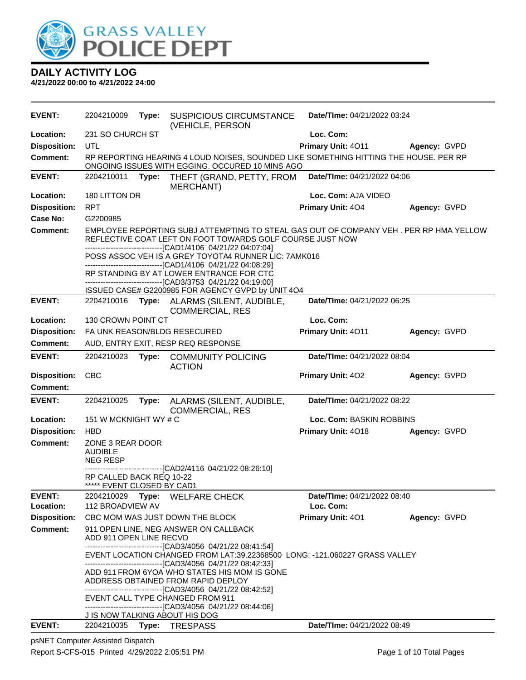

**4/21/2022 00:00 to 4/21/2022 24:00**

| <b>EVENT:</b>       | 2204210009                                             | Type: | <b>SUSPICIOUS CIRCUMSTANCE</b>                                                                                                                                                                                    | Date/TIme: 04/21/2022 03:24 |              |
|---------------------|--------------------------------------------------------|-------|-------------------------------------------------------------------------------------------------------------------------------------------------------------------------------------------------------------------|-----------------------------|--------------|
| Location:           | 231 SO CHURCH ST                                       |       | (VEHICLE, PERSON                                                                                                                                                                                                  | Loc. Com:                   |              |
| <b>Disposition:</b> | UTL                                                    |       |                                                                                                                                                                                                                   | Primary Unit: 4011          | Agency: GVPD |
| <b>Comment:</b>     |                                                        |       | RP REPORTING HEARING 4 LOUD NOISES, SOUNDED LIKE SOMETHING HITTING THE HOUSE. PER RP<br>ONGOING ISSUES WITH EGGING. OCCURED 10 MINS AGO                                                                           |                             |              |
| <b>EVENT:</b>       | 2204210011                                             | Type: | THEFT (GRAND, PETTY, FROM<br>MERCHANT)                                                                                                                                                                            | Date/TIme: 04/21/2022 04:06 |              |
| Location:           | 180 LITTON DR                                          |       |                                                                                                                                                                                                                   | Loc. Com: AJA VIDEO         |              |
| <b>Disposition:</b> | <b>RPT</b>                                             |       |                                                                                                                                                                                                                   | Primary Unit: 404           | Agency: GVPD |
| <b>Case No:</b>     | G2200985                                               |       |                                                                                                                                                                                                                   |                             |              |
| Comment:            |                                                        |       | EMPLOYEE REPORTING SUBJ ATTEMPTING TO STEAL GAS OUT OF COMPANY VEH. PER RP HMA YELLOW<br>REFLECTIVE COAT LEFT ON FOOT TOWARDS GOLF COURSE JUST NOW<br>------------------------------[CAD1/4106 04/21/22 04:07:04] |                             |              |
|                     |                                                        |       | POSS ASSOC VEH IS A GREY TOYOTA4 RUNNER LIC: 7AMK016                                                                                                                                                              |                             |              |
|                     |                                                        |       | ------------------------------[CAD1/4106 04/21/22 04:08:29]                                                                                                                                                       |                             |              |
|                     |                                                        |       | RP STANDING BY AT LOWER ENTRANCE FOR CTC<br>---------------------------------[CAD3/3753 04/21/22 04:19:00]                                                                                                        |                             |              |
|                     |                                                        |       | ISSUED CASE# G2200985 FOR AGENCY GVPD by UNIT 4O4                                                                                                                                                                 |                             |              |
| <b>EVENT:</b>       | 2204210016                                             |       | Type: ALARMS (SILENT, AUDIBLE,<br>COMMERCIAL, RES                                                                                                                                                                 | Date/TIme: 04/21/2022 06:25 |              |
| Location:           | 130 CROWN POINT CT                                     |       |                                                                                                                                                                                                                   | Loc. Com:                   |              |
| <b>Disposition:</b> |                                                        |       | FA UNK REASON/BLDG RESECURED                                                                                                                                                                                      | Primary Unit: 4011          | Agency: GVPD |
| <b>Comment:</b>     |                                                        |       | AUD, ENTRY EXIT, RESP REQ RESPONSE                                                                                                                                                                                |                             |              |
| <b>EVENT:</b>       | 2204210023                                             | Type: | <b>COMMUNITY POLICING</b><br><b>ACTION</b>                                                                                                                                                                        | Date/TIme: 04/21/2022 08:04 |              |
| <b>Disposition:</b> | <b>CBC</b>                                             |       |                                                                                                                                                                                                                   | Primary Unit: 402           | Agency: GVPD |
| <b>Comment:</b>     |                                                        |       |                                                                                                                                                                                                                   |                             |              |
| <b>EVENT:</b>       | 2204210025                                             | Type: | ALARMS (SILENT, AUDIBLE,<br><b>COMMERCIAL, RES</b>                                                                                                                                                                | Date/TIme: 04/21/2022 08:22 |              |
| Location:           | 151 W MCKNIGHT WY # C                                  |       |                                                                                                                                                                                                                   | Loc. Com: BASKIN ROBBINS    |              |
| <b>Disposition:</b> | <b>HBD</b>                                             |       |                                                                                                                                                                                                                   | Primary Unit: 4018          | Agency: GVPD |
| <b>Comment:</b>     | ZONE 3 REAR DOOR<br><b>AUDIBLE</b><br><b>NEG RESP</b>  |       |                                                                                                                                                                                                                   |                             |              |
|                     |                                                        |       | -------------------------------[CAD2/4116 04/21/22 08:26:10]                                                                                                                                                      |                             |              |
|                     | RP CALLED BACK REQ 10-22<br>***** EVENT CLOSED BY CAD1 |       |                                                                                                                                                                                                                   |                             |              |
| <b>EVENT:</b>       |                                                        |       | 2204210029 Type: WELFARE CHECK                                                                                                                                                                                    | Date/TIme: 04/21/2022 08:40 |              |
| Location:           | 112 BROADVIEW AV                                       |       |                                                                                                                                                                                                                   | Loc. Com:                   |              |
| <b>Disposition:</b> |                                                        |       | CBC MOM WAS JUST DOWN THE BLOCK                                                                                                                                                                                   | <b>Primary Unit: 401</b>    | Agency: GVPD |
| Comment:            | ADD 911 OPEN LINE RECVD                                |       | 911 OPEN LINE, NEG ANSWER ON CALLBACK<br>-------------------------------[CAD3/4056 04/21/22 08:41:54]                                                                                                             |                             |              |
|                     |                                                        |       | EVENT LOCATION CHANGED FROM LAT:39.22368500 LONG: -121.060227 GRASS VALLEY<br>------------------------------[CAD3/4056 04/21/22 08:42:33]                                                                         |                             |              |
|                     |                                                        |       | ADD 911 FROM 6YOA WHO STATES HIS MOM IS GONE                                                                                                                                                                      |                             |              |
|                     |                                                        |       | ADDRESS OBTAINED FROM RAPID DEPLOY<br>--------------------------------[CAD3/4056 04/21/22 08:42:52]                                                                                                               |                             |              |
|                     |                                                        |       | EVENT CALL TYPE CHANGED FROM 911                                                                                                                                                                                  |                             |              |
|                     |                                                        |       | ------------------------------[CAD3/4056 04/21/22 08:44:06]                                                                                                                                                       |                             |              |
| <b>EVENT:</b>       |                                                        |       | J IS NOW TALKING ABOUT HIS DOG<br>2204210035 Type: TRESPASS                                                                                                                                                       | Date/TIme: 04/21/2022 08:49 |              |
|                     |                                                        |       |                                                                                                                                                                                                                   |                             |              |

psNET Computer Assisted Dispatch Report S-CFS-015 Printed 4/29/2022 2:05:51 PM Page 1 of 10 Total Pages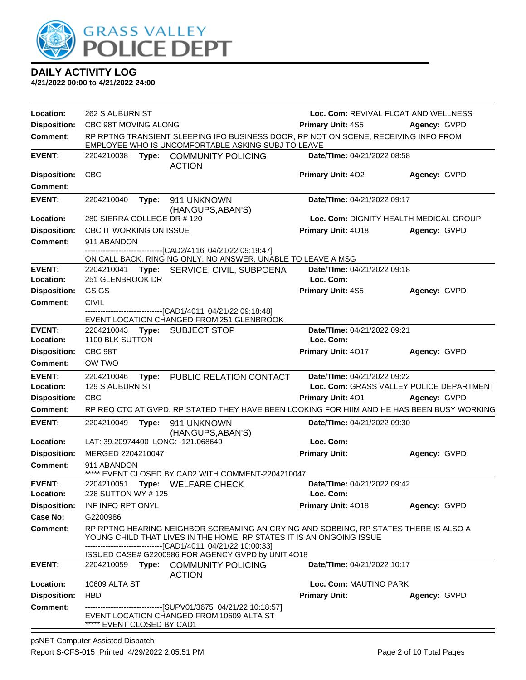

| Location:           | 262 S AUBURN ST                |       |                                                                                                                                                              |                             | Loc. Com: REVIVAL FLOAT AND WELLNESS     |
|---------------------|--------------------------------|-------|--------------------------------------------------------------------------------------------------------------------------------------------------------------|-----------------------------|------------------------------------------|
| <b>Disposition:</b> | CBC 98T MOVING ALONG           |       |                                                                                                                                                              | <b>Primary Unit: 4S5</b>    | Agency: GVPD                             |
| <b>Comment:</b>     |                                |       | RP RPTNG TRANSIENT SLEEPING IFO BUSINESS DOOR, RP NOT ON SCENE, RECEIVING INFO FROM<br>EMPLOYEE WHO IS UNCOMFORTABLE ASKING SUBJ TO LEAVE                    |                             |                                          |
| <b>EVENT:</b>       |                                |       | 2204210038 Type: COMMUNITY POLICING<br><b>ACTION</b>                                                                                                         | Date/TIme: 04/21/2022 08:58 |                                          |
| <b>Disposition:</b> | <b>CBC</b>                     |       |                                                                                                                                                              | Primary Unit: 402           | Agency: GVPD                             |
| <b>Comment:</b>     |                                |       |                                                                                                                                                              |                             |                                          |
| <b>EVENT:</b>       | 2204210040                     | Type: | 911 UNKNOWN<br>(HANGUPS, ABAN'S)                                                                                                                             | Date/TIme: 04/21/2022 09:17 |                                          |
| Location:           | 280 SIERRA COLLEGE DR #120     |       |                                                                                                                                                              |                             | Loc. Com: DIGNITY HEALTH MEDICAL GROUP   |
| <b>Disposition:</b> | <b>CBC IT WORKING ON ISSUE</b> |       |                                                                                                                                                              | Primary Unit: 4018          | Agency: GVPD                             |
| <b>Comment:</b>     | 911 ABANDON                    |       |                                                                                                                                                              |                             |                                          |
|                     |                                |       | -------------------------[CAD2/4116 04/21/22 09:19:47]                                                                                                       |                             |                                          |
|                     |                                |       | ON CALL BACK, RINGING ONLY, NO ANSWER, UNABLE TO LEAVE A MSG                                                                                                 |                             |                                          |
| <b>EVENT:</b>       | 2204210041                     | Type: | SERVICE, CIVIL, SUBPOENA                                                                                                                                     | Date/TIme: 04/21/2022 09:18 |                                          |
| Location:           | 251 GLENBROOK DR               |       |                                                                                                                                                              | Loc. Com:                   |                                          |
| <b>Disposition:</b> | GS GS                          |       |                                                                                                                                                              | Primary Unit: 4S5           | Agency: GVPD                             |
| <b>Comment:</b>     | <b>CIVIL</b>                   |       |                                                                                                                                                              |                             |                                          |
|                     |                                |       | -------------------------------[CAD1/4011 04/21/22 09:18:48]<br>EVENT LOCATION CHANGED FROM 251 GLENBROOK                                                    |                             |                                          |
| <b>EVENT:</b>       | 2204210043                     |       | Type: SUBJECT STOP                                                                                                                                           | Date/TIme: 04/21/2022 09:21 |                                          |
| Location:           | 1100 BLK SUTTON                |       |                                                                                                                                                              | Loc. Com:                   |                                          |
| <b>Disposition:</b> | CBC 98T                        |       |                                                                                                                                                              | Primary Unit: 4017          | Agency: GVPD                             |
| <b>Comment:</b>     | OW TWO                         |       |                                                                                                                                                              |                             |                                          |
| <b>EVENT:</b>       | 2204210046                     | Type: | PUBLIC RELATION CONTACT                                                                                                                                      | Date/TIme: 04/21/2022 09:22 |                                          |
| Location:           | 129 S AUBURN ST                |       |                                                                                                                                                              |                             | Loc. Com: GRASS VALLEY POLICE DEPARTMENT |
| <b>Disposition:</b> | <b>CBC</b>                     |       |                                                                                                                                                              | <b>Primary Unit: 401</b>    | Agency: GVPD                             |
| <b>Comment:</b>     |                                |       | RP REQ CTC AT GVPD, RP STATED THEY HAVE BEEN LOOKING FOR HIIM AND HE HAS BEEN BUSY WORKING                                                                   |                             |                                          |
| <b>EVENT:</b>       | 2204210049                     | Type: | 911 UNKNOWN<br>(HANGUPS, ABAN'S)                                                                                                                             | Date/TIme: 04/21/2022 09:30 |                                          |
| Location:           |                                |       | LAT: 39.20974400 LONG: -121.068649                                                                                                                           | Loc. Com:                   |                                          |
| <b>Disposition:</b> | MERGED 2204210047              |       |                                                                                                                                                              | <b>Primary Unit:</b>        | Agency: GVPD                             |
| <b>Comment:</b>     | 911 ABANDON                    |       | ***** EVENT CLOSED BY CAD2 WITH COMMENT-2204210047                                                                                                           |                             |                                          |
| <b>EVENT:</b>       | 2204210051                     |       | Type: WELFARE CHECK                                                                                                                                          | Date/TIme: 04/21/2022 09:42 |                                          |
| Location:           | 228 SUTTON WY #125             |       |                                                                                                                                                              | Loc. Com:                   |                                          |
| <b>Disposition:</b> | INF INFO RPT ONYL              |       |                                                                                                                                                              | <b>Primary Unit: 4018</b>   | Agency: GVPD                             |
| Case No:            | G2200986                       |       |                                                                                                                                                              |                             |                                          |
| Comment:            |                                |       | RP RPTNG HEARING NEIGHBOR SCREAMING AN CRYING AND SOBBING, RP STATES THERE IS ALSO A<br>YOUNG CHILD THAT LIVES IN THE HOME, RP STATES IT IS AN ONGOING ISSUE |                             |                                          |
|                     |                                |       | -------------------------------[CAD1/4011 04/21/22 10:00:33]<br>ISSUED CASE# G2200986 FOR AGENCY GVPD by UNIT 4018                                           |                             |                                          |
| <b>EVENT:</b>       | 2204210059                     | Type: | <b>COMMUNITY POLICING</b><br><b>ACTION</b>                                                                                                                   | Date/Time: 04/21/2022 10:17 |                                          |
| Location:           | 10609 ALTA ST                  |       |                                                                                                                                                              | Loc. Com: MAUTINO PARK      |                                          |
| <b>Disposition:</b> | <b>HBD</b>                     |       |                                                                                                                                                              | <b>Primary Unit:</b>        | Agency: GVPD                             |
| <b>Comment:</b>     |                                |       | ------------------------------[SUPV01/3675 04/21/22 10:18:57]                                                                                                |                             |                                          |
|                     | ***** EVENT CLOSED BY CAD1     |       | EVENT LOCATION CHANGED FROM 10609 ALTA ST                                                                                                                    |                             |                                          |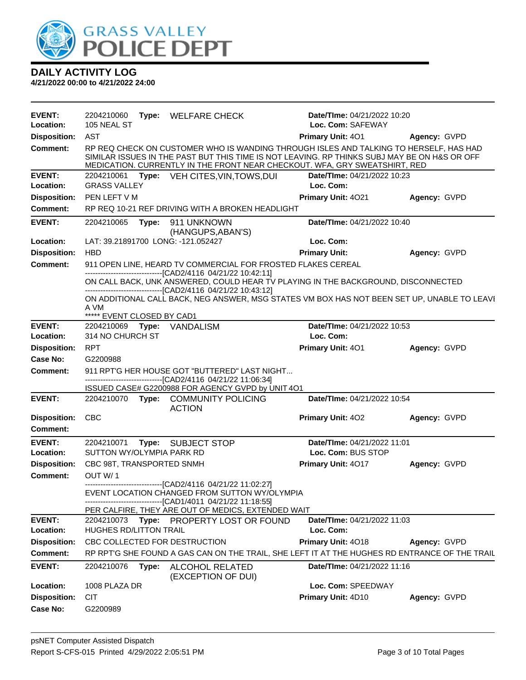

| <b>EVENT:</b>       | 2204210060                         |       | Type: WELFARE CHECK                                                                                                                                                                                                                                                 | <b>Date/Time: 04/21/2022 10:20</b> |                     |
|---------------------|------------------------------------|-------|---------------------------------------------------------------------------------------------------------------------------------------------------------------------------------------------------------------------------------------------------------------------|------------------------------------|---------------------|
| Location:           | 105 NEAL ST                        |       |                                                                                                                                                                                                                                                                     | Loc. Com: SAFEWAY                  |                     |
| <b>Disposition:</b> | AST                                |       |                                                                                                                                                                                                                                                                     | Primary Unit: 401                  | <b>Agency: GVPD</b> |
| <b>Comment:</b>     |                                    |       | RP REQ CHECK ON CUSTOMER WHO IS WANDING THROUGH ISLES AND TALKING TO HERSELF, HAS HAD<br>SIMILAR ISSUES IN THE PAST BUT THIS TIME IS NOT LEAVING. RP THINKS SUBJ MAY BE ON H&S OR OFF<br>MEDICATION. CURRENTLY IN THE FRONT NEAR CHECKOUT. WFA, GRY SWEATSHIRT, RED |                                    |                     |
| <b>EVENT:</b>       | 2204210061                         |       | Type: VEH CITES, VIN, TOWS, DUI                                                                                                                                                                                                                                     | Date/TIme: 04/21/2022 10:23        |                     |
| Location:           | <b>GRASS VALLEY</b>                |       |                                                                                                                                                                                                                                                                     | Loc. Com:                          |                     |
| <b>Disposition:</b> | PEN LEFT V M                       |       |                                                                                                                                                                                                                                                                     | Primary Unit: 4021                 | Agency: GVPD        |
| Comment:            |                                    |       | RP REQ 10-21 REF DRIVING WITH A BROKEN HEADLIGHT                                                                                                                                                                                                                    |                                    |                     |
| <b>EVENT:</b>       | 2204210065                         |       | Type: 911 UNKNOWN<br>(HANGUPS, ABAN'S)                                                                                                                                                                                                                              | Date/TIme: 04/21/2022 10:40        |                     |
| Location:           | LAT: 39.21891700 LONG: -121.052427 |       |                                                                                                                                                                                                                                                                     | Loc. Com:                          |                     |
| <b>Disposition:</b> | <b>HBD</b>                         |       |                                                                                                                                                                                                                                                                     | <b>Primary Unit:</b>               | Agency: GVPD        |
| <b>Comment:</b>     |                                    |       | 911 OPEN LINE, HEARD TV COMMERCIAL FOR FROSTED FLAKES CEREAL<br>-------------------------------[CAD2/4116 04/21/22 10:42:11]                                                                                                                                        |                                    |                     |
|                     |                                    |       | ON CALL BACK, UNK ANSWERED, COULD HEAR TV PLAYING IN THE BACKGROUND, DISCONNECTED<br>--------------------------------[CAD2/4116 04/21/22 10:43:12]                                                                                                                  |                                    |                     |
|                     | A VM                               |       | ON ADDITIONAL CALL BACK, NEG ANSWER, MSG STATES VM BOX HAS NOT BEEN SET UP, UNABLE TO LEAVI                                                                                                                                                                         |                                    |                     |
|                     | ***** EVENT CLOSED BY CAD1         |       |                                                                                                                                                                                                                                                                     |                                    |                     |
| <b>EVENT:</b>       | 2204210069 Type: VANDALISM         |       |                                                                                                                                                                                                                                                                     | Date/TIme: 04/21/2022 10:53        |                     |
| Location:           | 314 NO CHURCH ST                   |       |                                                                                                                                                                                                                                                                     | Loc. Com:                          |                     |
| <b>Disposition:</b> | <b>RPT</b>                         |       |                                                                                                                                                                                                                                                                     | <b>Primary Unit: 401</b>           | Agency: GVPD        |
| Case No:            | G2200988                           |       |                                                                                                                                                                                                                                                                     |                                    |                     |
|                     |                                    |       |                                                                                                                                                                                                                                                                     |                                    |                     |
| <b>Comment:</b>     |                                    |       | 911 RPT'G HER HOUSE GOT "BUTTERED" LAST NIGHT<br>-------------------------------[CAD2/4116 04/21/22 11:06:34]                                                                                                                                                       |                                    |                     |
| <b>EVENT:</b>       |                                    |       | ISSUED CASE# G2200988 FOR AGENCY GVPD by UNIT 4O1<br>2204210070 Type: COMMUNITY POLICING                                                                                                                                                                            | Date/TIme: 04/21/2022 10:54        |                     |
|                     |                                    |       | <b>ACTION</b>                                                                                                                                                                                                                                                       |                                    |                     |
| <b>Disposition:</b> | <b>CBC</b>                         |       |                                                                                                                                                                                                                                                                     | Primary Unit: 402                  | Agency: GVPD        |
| <b>Comment:</b>     |                                    |       |                                                                                                                                                                                                                                                                     |                                    |                     |
| <b>EVENT:</b>       | 2204210071                         |       | Type: SUBJECT STOP                                                                                                                                                                                                                                                  | Date/TIme: 04/21/2022 11:01        |                     |
| Location:           | SUTTON WY/OLYMPIA PARK RD          |       |                                                                                                                                                                                                                                                                     | Loc. Com: BUS STOP                 |                     |
| <b>Disposition:</b> | CBC 98T, TRANSPORTED SNMH          |       |                                                                                                                                                                                                                                                                     | Primary Unit: 4017                 | Agency: GVPD        |
| <b>Comment:</b>     | OUT W/1                            |       |                                                                                                                                                                                                                                                                     |                                    |                     |
|                     |                                    |       | -------------------------------[CAD2/4116 04/21/22 11:02:27]<br>EVENT LOCATION CHANGED FROM SUTTON WY/OLYMPIA                                                                                                                                                       |                                    |                     |
|                     |                                    |       | -----------------------[CAD1/4011_04/21/22_11:18:55]                                                                                                                                                                                                                |                                    |                     |
|                     |                                    |       | PER CALFIRE, THEY ARE OUT OF MEDICS, EXTENDED WAIT                                                                                                                                                                                                                  |                                    |                     |
| <b>EVENT:</b>       | 2204210073                         |       | Type: PROPERTY LOST OR FOUND                                                                                                                                                                                                                                        | Date/TIme: 04/21/2022 11:03        |                     |
| Location:           | <b>HUGHES RD/LITTON TRAIL</b>      |       |                                                                                                                                                                                                                                                                     | Loc. Com:                          |                     |
| <b>Disposition:</b> | CBC COLLECTED FOR DESTRUCTION      |       |                                                                                                                                                                                                                                                                     | Primary Unit: 4018                 | Agency: GVPD        |
| Comment:            |                                    |       | RP RPT'G SHE FOUND A GAS CAN ON THE TRAIL, SHE LEFT IT AT THE HUGHES RD ENTRANCE OF THE TRAIL                                                                                                                                                                       |                                    |                     |
| <b>EVENT:</b>       | 2204210076                         | Type: | ALCOHOL RELATED<br>(EXCEPTION OF DUI)                                                                                                                                                                                                                               | Date/TIme: 04/21/2022 11:16        |                     |
| Location:           | 1008 PLAZA DR                      |       |                                                                                                                                                                                                                                                                     | Loc. Com: SPEEDWAY                 |                     |
| <b>Disposition:</b> | <b>CIT</b>                         |       |                                                                                                                                                                                                                                                                     | Primary Unit: 4D10                 | Agency: GVPD        |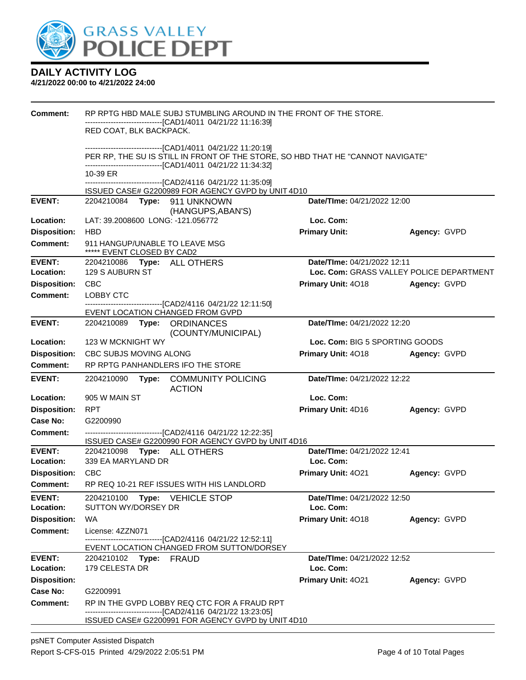

| Comment:                               | RP RPTG HBD MALE SUBJ STUMBLING AROUND IN THE FRONT OF THE STORE.                                                                                                                                                                                                                          |                                 |                                                          |  |  |  |
|----------------------------------------|--------------------------------------------------------------------------------------------------------------------------------------------------------------------------------------------------------------------------------------------------------------------------------------------|---------------------------------|----------------------------------------------------------|--|--|--|
|                                        | ----------------------------[CAD1/4011_04/21/22 11:16:39]<br>RED COAT, BLK BACKPACK.                                                                                                                                                                                                       |                                 |                                                          |  |  |  |
|                                        |                                                                                                                                                                                                                                                                                            |                                 |                                                          |  |  |  |
|                                        | -------------------------------[CAD1/4011_04/21/22_11:20:19]<br>PER RP, THE SU IS STILL IN FRONT OF THE STORE, SO HBD THAT HE "CANNOT NAVIGATE"<br>------------------------------[CAD1/4011_04/21/22_11:34:32]<br>10-39 ER<br>-------------------------------[CAD2/4116 04/21/22 11:35:09] |                                 |                                                          |  |  |  |
|                                        |                                                                                                                                                                                                                                                                                            |                                 |                                                          |  |  |  |
|                                        |                                                                                                                                                                                                                                                                                            |                                 |                                                          |  |  |  |
|                                        | ISSUED CASE# G2200989 FOR AGENCY GVPD by UNIT 4D10                                                                                                                                                                                                                                         |                                 |                                                          |  |  |  |
| <b>EVENT:</b>                          | 2204210084    Type: 911    UNKNOWN                                                                                                                                                                                                                                                         | Date/TIme: 04/21/2022 12:00     |                                                          |  |  |  |
| Location:                              | (HANGUPS, ABAN'S)<br>LAT: 39.2008600 LONG: -121.056772                                                                                                                                                                                                                                     | Loc. Com:                       |                                                          |  |  |  |
| <b>Disposition:</b>                    | <b>HBD</b>                                                                                                                                                                                                                                                                                 | <b>Primary Unit:</b>            | Agency: GVPD                                             |  |  |  |
| <b>Comment:</b>                        | 911 HANGUP/UNABLE TO LEAVE MSG                                                                                                                                                                                                                                                             |                                 |                                                          |  |  |  |
|                                        | ***** EVENT CLOSED BY CAD2                                                                                                                                                                                                                                                                 |                                 |                                                          |  |  |  |
| <b>EVENT:</b>                          | 2204210086 Type: ALL OTHERS<br>129 S AUBURN ST                                                                                                                                                                                                                                             | Date/TIme: 04/21/2022 12:11     |                                                          |  |  |  |
| Location:<br><b>Disposition:</b>       | <b>CBC</b>                                                                                                                                                                                                                                                                                 | Primary Unit: 4018              | Loc. Com: GRASS VALLEY POLICE DEPARTMENT<br>Agency: GVPD |  |  |  |
| Comment:                               | LOBBY CTC                                                                                                                                                                                                                                                                                  |                                 |                                                          |  |  |  |
|                                        | ------------------------[CAD2/4116 04/21/22 12:11:50]                                                                                                                                                                                                                                      |                                 |                                                          |  |  |  |
|                                        | EVENT LOCATION CHANGED FROM GVPD                                                                                                                                                                                                                                                           |                                 |                                                          |  |  |  |
| <b>EVENT:</b>                          | 2204210089 Type: ORDINANCES<br>(COUNTY/MUNICIPAL)                                                                                                                                                                                                                                          | Date/TIme: 04/21/2022 12:20     |                                                          |  |  |  |
| Location:                              | 123 W MCKNIGHT WY                                                                                                                                                                                                                                                                          |                                 | Loc. Com: BIG 5 SPORTING GOODS                           |  |  |  |
| <b>Disposition:</b>                    | CBC SUBJS MOVING ALONG                                                                                                                                                                                                                                                                     | Primary Unit: 4018              | Agency: GVPD                                             |  |  |  |
| <b>Comment:</b>                        | RP RPTG PANHANDLERS IFO THE STORE                                                                                                                                                                                                                                                          |                                 |                                                          |  |  |  |
| <b>EVENT:</b>                          | 2204210090<br>Type:<br><b>COMMUNITY POLICING</b><br><b>ACTION</b>                                                                                                                                                                                                                          |                                 | Date/TIme: 04/21/2022 12:22                              |  |  |  |
| Location:                              | 905 W MAIN ST                                                                                                                                                                                                                                                                              | Loc. Com:                       |                                                          |  |  |  |
| <b>Disposition:</b>                    | <b>RPT</b>                                                                                                                                                                                                                                                                                 | Primary Unit: 4D16              | Agency: GVPD                                             |  |  |  |
| Case No:                               | G2200990                                                                                                                                                                                                                                                                                   |                                 |                                                          |  |  |  |
| <b>Comment:</b>                        | -------------------------------[CAD2/4116 04/21/22 12:22:35]                                                                                                                                                                                                                               |                                 |                                                          |  |  |  |
| <b>EVENT:</b>                          | ISSUED CASE# G2200990 FOR AGENCY GVPD by UNIT 4D16<br>2204210098 Type: ALL OTHERS                                                                                                                                                                                                          | Date/TIme: 04/21/2022 12:41     |                                                          |  |  |  |
| Location:                              | 339 EA MARYLAND DR                                                                                                                                                                                                                                                                         | Loc. Com:                       |                                                          |  |  |  |
| <b>Disposition:</b>                    | CBC                                                                                                                                                                                                                                                                                        | Primary Unit: 4021              | Agency: GVPD                                             |  |  |  |
| <b>Comment:</b>                        | RP REQ 10-21 REF ISSUES WITH HIS LANDLORD                                                                                                                                                                                                                                                  |                                 |                                                          |  |  |  |
| <b>EVENT:</b>                          | 2204210100<br><b>Type:</b> VEHICLE STOP                                                                                                                                                                                                                                                    | Date/TIme: 04/21/2022 12:50     |                                                          |  |  |  |
| Location:                              | SUTTON WY/DORSEY DR                                                                                                                                                                                                                                                                        | Loc. Com:                       |                                                          |  |  |  |
| <b>Disposition:</b>                    | WA                                                                                                                                                                                                                                                                                         | Primary Unit: 4018              | Agency: GVPD                                             |  |  |  |
| <b>Comment:</b>                        | License: 4ZZN071<br>---------------------[CAD2/4116_04/21/22 12:52:11]                                                                                                                                                                                                                     |                                 |                                                          |  |  |  |
|                                        | EVENT LOCATION CHANGED FROM SUTTON/DORSEY                                                                                                                                                                                                                                                  |                                 |                                                          |  |  |  |
| <b>EVENT:</b>                          | 2204210102 Type: FRAUD                                                                                                                                                                                                                                                                     | Date/TIme: 04/21/2022 12:52     |                                                          |  |  |  |
| Location:                              | 179 CELESTA DR                                                                                                                                                                                                                                                                             | Loc. Com:<br>Primary Unit: 4021 |                                                          |  |  |  |
| <b>Disposition:</b><br><b>Case No:</b> | G2200991                                                                                                                                                                                                                                                                                   |                                 | Agency: GVPD                                             |  |  |  |
| Comment:                               | RP IN THE GVPD LOBBY REQ CTC FOR A FRAUD RPT                                                                                                                                                                                                                                               |                                 |                                                          |  |  |  |
|                                        | ----------------------------[CAD2/4116_04/21/22_13:23:05]                                                                                                                                                                                                                                  |                                 |                                                          |  |  |  |
|                                        | ISSUED CASE# G2200991 FOR AGENCY GVPD by UNIT 4D10                                                                                                                                                                                                                                         |                                 |                                                          |  |  |  |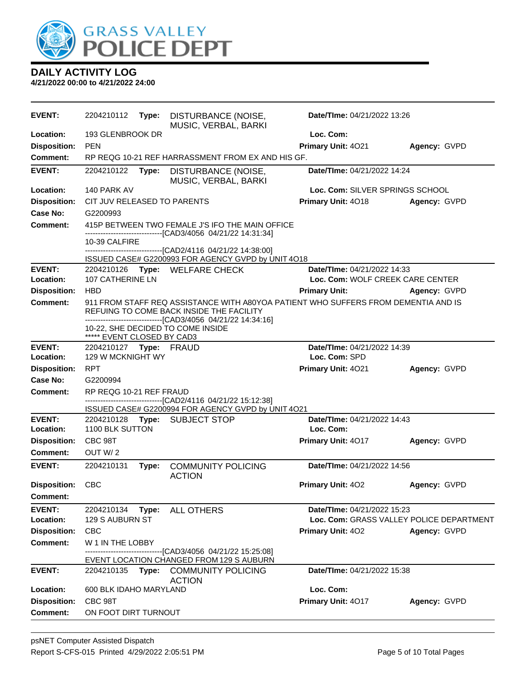

| Loc. Com:<br>Location:<br>193 GLENBROOK DR<br><b>Disposition:</b><br><b>PEN</b><br>Primary Unit: 4021<br>Agency: GVPD<br>RP REQG 10-21 REF HARRASSMENT FROM EX AND HIS GF.<br><b>Comment:</b><br><b>EVENT:</b><br>Date/TIme: 04/21/2022 14:24<br>2204210122<br>Type:<br>DISTURBANCE (NOISE,<br>MUSIC, VERBAL, BARKI<br>Loc. Com: SILVER SPRINGS SCHOOL<br>Location:<br>140 PARK AV<br>Primary Unit: 4018<br><b>Disposition:</b><br>CIT JUV RELEASED TO PARENTS<br>Agency: GVPD<br>Case No:<br>G2200993<br>415P BETWEEN TWO FEMALE J'S IFO THE MAIN OFFICE<br><b>Comment:</b><br>-------------------------[CAD3/4056_04/21/22 14:31:34]<br>10-39 CALFIRE<br>-------------------------------[CAD2/4116 04/21/22 14:38:00]<br>ISSUED CASE# G2200993 FOR AGENCY GVPD by UNIT 4O18<br>Date/TIme: 04/21/2022 14:33<br><b>EVENT:</b><br>2204210126 Type: WELFARE CHECK<br>107 CATHERINE LN<br>Loc. Com: WOLF CREEK CARE CENTER<br>Location:<br><b>Disposition:</b><br><b>HBD</b><br><b>Primary Unit:</b><br>Agency: GVPD<br>911 FROM STAFF REQ ASSISTANCE WITH A80YOA PATIENT WHO SUFFERS FROM DEMENTIA AND IS<br><b>Comment:</b><br>REFUING TO COME BACK INSIDE THE FACILITY<br>---------------------------------[CAD3/4056 04/21/22 14:34:16]<br>10-22, SHE DECIDED TO COME INSIDE<br>***** EVENT CLOSED BY CAD3<br><b>EVENT:</b><br>Date/TIme: 04/21/2022 14:39<br>2204210127 Type: FRAUD<br>129 W MCKNIGHT WY<br>Loc. Com: SPD<br>Location:<br><b>RPT</b><br>Primary Unit: 4021<br><b>Disposition:</b><br>Agency: GVPD<br>Case No:<br>G2200994<br>RP REQG 10-21 REF FRAUD<br><b>Comment:</b><br>-----------------------[CAD2/4116 04/21/22 15:12:38]<br>ISSUED CASE# G2200994 FOR AGENCY GVPD by UNIT 4O21<br><b>EVENT:</b><br>Date/TIme: 04/21/2022 14:43<br>2204210128 Type: SUBJECT STOP<br>1100 BLK SUTTON<br>Loc. Com:<br>Location:<br><b>Disposition:</b><br>Primary Unit: 4017<br>CBC 98T<br>Agency: GVPD<br>OUT W/2<br>Comment:<br><b>EVENT:</b><br>Date/TIme: 04/21/2022 14:56<br>2204210131<br><b>COMMUNITY POLICING</b><br>Type:<br><b>ACTION</b><br><b>Disposition:</b><br><b>CBC</b><br>Primary Unit: 402<br>Agency: GVPD<br><b>Comment:</b><br><b>EVENT:</b><br>2204210134<br>ALL OTHERS<br>Date/TIme: 04/21/2022 15:23<br>Type:<br>129 S AUBURN ST<br>Loc. Com: GRASS VALLEY POLICE DEPARTMENT<br>Location:<br><b>Disposition:</b><br><b>CBC</b><br><b>Primary Unit: 402</b><br>Agency: GVPD<br><b>Comment:</b><br>W 1 IN THE LOBBY<br>--------------------------[CAD3/4056_04/21/22_15:25:08]<br>EVENT LOCATION CHANGED FROM 129 S AUBURN<br>Date/TIme: 04/21/2022 15:38<br><b>EVENT:</b><br>Type:<br><b>COMMUNITY POLICING</b><br>2204210135<br><b>ACTION</b><br>600 BLK IDAHO MARYLAND<br>Loc. Com:<br>Location:<br><b>Disposition:</b><br>CBC 98T<br>Primary Unit: 4017<br>Agency: GVPD<br><b>Comment:</b><br>ON FOOT DIRT TURNOUT | <b>EVENT:</b> | 2204210112 | Type: | DISTURBANCE (NOISE,<br>MUSIC, VERBAL, BARKI | Date/TIme: 04/21/2022 13:26 |  |  |
|----------------------------------------------------------------------------------------------------------------------------------------------------------------------------------------------------------------------------------------------------------------------------------------------------------------------------------------------------------------------------------------------------------------------------------------------------------------------------------------------------------------------------------------------------------------------------------------------------------------------------------------------------------------------------------------------------------------------------------------------------------------------------------------------------------------------------------------------------------------------------------------------------------------------------------------------------------------------------------------------------------------------------------------------------------------------------------------------------------------------------------------------------------------------------------------------------------------------------------------------------------------------------------------------------------------------------------------------------------------------------------------------------------------------------------------------------------------------------------------------------------------------------------------------------------------------------------------------------------------------------------------------------------------------------------------------------------------------------------------------------------------------------------------------------------------------------------------------------------------------------------------------------------------------------------------------------------------------------------------------------------------------------------------------------------------------------------------------------------------------------------------------------------------------------------------------------------------------------------------------------------------------------------------------------------------------------------------------------------------------------------------------------------------------------------------------------------------------------------------------------------------------------------------------------------------------------------------------------------------------------------------------------------------------------------------------------------------------------------------------------------------------------------------------------------------------------------------------------|---------------|------------|-------|---------------------------------------------|-----------------------------|--|--|
|                                                                                                                                                                                                                                                                                                                                                                                                                                                                                                                                                                                                                                                                                                                                                                                                                                                                                                                                                                                                                                                                                                                                                                                                                                                                                                                                                                                                                                                                                                                                                                                                                                                                                                                                                                                                                                                                                                                                                                                                                                                                                                                                                                                                                                                                                                                                                                                                                                                                                                                                                                                                                                                                                                                                                                                                                                                    |               |            |       |                                             |                             |  |  |
|                                                                                                                                                                                                                                                                                                                                                                                                                                                                                                                                                                                                                                                                                                                                                                                                                                                                                                                                                                                                                                                                                                                                                                                                                                                                                                                                                                                                                                                                                                                                                                                                                                                                                                                                                                                                                                                                                                                                                                                                                                                                                                                                                                                                                                                                                                                                                                                                                                                                                                                                                                                                                                                                                                                                                                                                                                                    |               |            |       |                                             |                             |  |  |
|                                                                                                                                                                                                                                                                                                                                                                                                                                                                                                                                                                                                                                                                                                                                                                                                                                                                                                                                                                                                                                                                                                                                                                                                                                                                                                                                                                                                                                                                                                                                                                                                                                                                                                                                                                                                                                                                                                                                                                                                                                                                                                                                                                                                                                                                                                                                                                                                                                                                                                                                                                                                                                                                                                                                                                                                                                                    |               |            |       |                                             |                             |  |  |
|                                                                                                                                                                                                                                                                                                                                                                                                                                                                                                                                                                                                                                                                                                                                                                                                                                                                                                                                                                                                                                                                                                                                                                                                                                                                                                                                                                                                                                                                                                                                                                                                                                                                                                                                                                                                                                                                                                                                                                                                                                                                                                                                                                                                                                                                                                                                                                                                                                                                                                                                                                                                                                                                                                                                                                                                                                                    |               |            |       |                                             |                             |  |  |
|                                                                                                                                                                                                                                                                                                                                                                                                                                                                                                                                                                                                                                                                                                                                                                                                                                                                                                                                                                                                                                                                                                                                                                                                                                                                                                                                                                                                                                                                                                                                                                                                                                                                                                                                                                                                                                                                                                                                                                                                                                                                                                                                                                                                                                                                                                                                                                                                                                                                                                                                                                                                                                                                                                                                                                                                                                                    |               |            |       |                                             |                             |  |  |
|                                                                                                                                                                                                                                                                                                                                                                                                                                                                                                                                                                                                                                                                                                                                                                                                                                                                                                                                                                                                                                                                                                                                                                                                                                                                                                                                                                                                                                                                                                                                                                                                                                                                                                                                                                                                                                                                                                                                                                                                                                                                                                                                                                                                                                                                                                                                                                                                                                                                                                                                                                                                                                                                                                                                                                                                                                                    |               |            |       |                                             |                             |  |  |
|                                                                                                                                                                                                                                                                                                                                                                                                                                                                                                                                                                                                                                                                                                                                                                                                                                                                                                                                                                                                                                                                                                                                                                                                                                                                                                                                                                                                                                                                                                                                                                                                                                                                                                                                                                                                                                                                                                                                                                                                                                                                                                                                                                                                                                                                                                                                                                                                                                                                                                                                                                                                                                                                                                                                                                                                                                                    |               |            |       |                                             |                             |  |  |
|                                                                                                                                                                                                                                                                                                                                                                                                                                                                                                                                                                                                                                                                                                                                                                                                                                                                                                                                                                                                                                                                                                                                                                                                                                                                                                                                                                                                                                                                                                                                                                                                                                                                                                                                                                                                                                                                                                                                                                                                                                                                                                                                                                                                                                                                                                                                                                                                                                                                                                                                                                                                                                                                                                                                                                                                                                                    |               |            |       |                                             |                             |  |  |
|                                                                                                                                                                                                                                                                                                                                                                                                                                                                                                                                                                                                                                                                                                                                                                                                                                                                                                                                                                                                                                                                                                                                                                                                                                                                                                                                                                                                                                                                                                                                                                                                                                                                                                                                                                                                                                                                                                                                                                                                                                                                                                                                                                                                                                                                                                                                                                                                                                                                                                                                                                                                                                                                                                                                                                                                                                                    |               |            |       |                                             |                             |  |  |
|                                                                                                                                                                                                                                                                                                                                                                                                                                                                                                                                                                                                                                                                                                                                                                                                                                                                                                                                                                                                                                                                                                                                                                                                                                                                                                                                                                                                                                                                                                                                                                                                                                                                                                                                                                                                                                                                                                                                                                                                                                                                                                                                                                                                                                                                                                                                                                                                                                                                                                                                                                                                                                                                                                                                                                                                                                                    |               |            |       |                                             |                             |  |  |
|                                                                                                                                                                                                                                                                                                                                                                                                                                                                                                                                                                                                                                                                                                                                                                                                                                                                                                                                                                                                                                                                                                                                                                                                                                                                                                                                                                                                                                                                                                                                                                                                                                                                                                                                                                                                                                                                                                                                                                                                                                                                                                                                                                                                                                                                                                                                                                                                                                                                                                                                                                                                                                                                                                                                                                                                                                                    |               |            |       |                                             |                             |  |  |
|                                                                                                                                                                                                                                                                                                                                                                                                                                                                                                                                                                                                                                                                                                                                                                                                                                                                                                                                                                                                                                                                                                                                                                                                                                                                                                                                                                                                                                                                                                                                                                                                                                                                                                                                                                                                                                                                                                                                                                                                                                                                                                                                                                                                                                                                                                                                                                                                                                                                                                                                                                                                                                                                                                                                                                                                                                                    |               |            |       |                                             |                             |  |  |
|                                                                                                                                                                                                                                                                                                                                                                                                                                                                                                                                                                                                                                                                                                                                                                                                                                                                                                                                                                                                                                                                                                                                                                                                                                                                                                                                                                                                                                                                                                                                                                                                                                                                                                                                                                                                                                                                                                                                                                                                                                                                                                                                                                                                                                                                                                                                                                                                                                                                                                                                                                                                                                                                                                                                                                                                                                                    |               |            |       |                                             |                             |  |  |
|                                                                                                                                                                                                                                                                                                                                                                                                                                                                                                                                                                                                                                                                                                                                                                                                                                                                                                                                                                                                                                                                                                                                                                                                                                                                                                                                                                                                                                                                                                                                                                                                                                                                                                                                                                                                                                                                                                                                                                                                                                                                                                                                                                                                                                                                                                                                                                                                                                                                                                                                                                                                                                                                                                                                                                                                                                                    |               |            |       |                                             |                             |  |  |
|                                                                                                                                                                                                                                                                                                                                                                                                                                                                                                                                                                                                                                                                                                                                                                                                                                                                                                                                                                                                                                                                                                                                                                                                                                                                                                                                                                                                                                                                                                                                                                                                                                                                                                                                                                                                                                                                                                                                                                                                                                                                                                                                                                                                                                                                                                                                                                                                                                                                                                                                                                                                                                                                                                                                                                                                                                                    |               |            |       |                                             |                             |  |  |
|                                                                                                                                                                                                                                                                                                                                                                                                                                                                                                                                                                                                                                                                                                                                                                                                                                                                                                                                                                                                                                                                                                                                                                                                                                                                                                                                                                                                                                                                                                                                                                                                                                                                                                                                                                                                                                                                                                                                                                                                                                                                                                                                                                                                                                                                                                                                                                                                                                                                                                                                                                                                                                                                                                                                                                                                                                                    |               |            |       |                                             |                             |  |  |
|                                                                                                                                                                                                                                                                                                                                                                                                                                                                                                                                                                                                                                                                                                                                                                                                                                                                                                                                                                                                                                                                                                                                                                                                                                                                                                                                                                                                                                                                                                                                                                                                                                                                                                                                                                                                                                                                                                                                                                                                                                                                                                                                                                                                                                                                                                                                                                                                                                                                                                                                                                                                                                                                                                                                                                                                                                                    |               |            |       |                                             |                             |  |  |
|                                                                                                                                                                                                                                                                                                                                                                                                                                                                                                                                                                                                                                                                                                                                                                                                                                                                                                                                                                                                                                                                                                                                                                                                                                                                                                                                                                                                                                                                                                                                                                                                                                                                                                                                                                                                                                                                                                                                                                                                                                                                                                                                                                                                                                                                                                                                                                                                                                                                                                                                                                                                                                                                                                                                                                                                                                                    |               |            |       |                                             |                             |  |  |
|                                                                                                                                                                                                                                                                                                                                                                                                                                                                                                                                                                                                                                                                                                                                                                                                                                                                                                                                                                                                                                                                                                                                                                                                                                                                                                                                                                                                                                                                                                                                                                                                                                                                                                                                                                                                                                                                                                                                                                                                                                                                                                                                                                                                                                                                                                                                                                                                                                                                                                                                                                                                                                                                                                                                                                                                                                                    |               |            |       |                                             |                             |  |  |
|                                                                                                                                                                                                                                                                                                                                                                                                                                                                                                                                                                                                                                                                                                                                                                                                                                                                                                                                                                                                                                                                                                                                                                                                                                                                                                                                                                                                                                                                                                                                                                                                                                                                                                                                                                                                                                                                                                                                                                                                                                                                                                                                                                                                                                                                                                                                                                                                                                                                                                                                                                                                                                                                                                                                                                                                                                                    |               |            |       |                                             |                             |  |  |
|                                                                                                                                                                                                                                                                                                                                                                                                                                                                                                                                                                                                                                                                                                                                                                                                                                                                                                                                                                                                                                                                                                                                                                                                                                                                                                                                                                                                                                                                                                                                                                                                                                                                                                                                                                                                                                                                                                                                                                                                                                                                                                                                                                                                                                                                                                                                                                                                                                                                                                                                                                                                                                                                                                                                                                                                                                                    |               |            |       |                                             |                             |  |  |
|                                                                                                                                                                                                                                                                                                                                                                                                                                                                                                                                                                                                                                                                                                                                                                                                                                                                                                                                                                                                                                                                                                                                                                                                                                                                                                                                                                                                                                                                                                                                                                                                                                                                                                                                                                                                                                                                                                                                                                                                                                                                                                                                                                                                                                                                                                                                                                                                                                                                                                                                                                                                                                                                                                                                                                                                                                                    |               |            |       |                                             |                             |  |  |
|                                                                                                                                                                                                                                                                                                                                                                                                                                                                                                                                                                                                                                                                                                                                                                                                                                                                                                                                                                                                                                                                                                                                                                                                                                                                                                                                                                                                                                                                                                                                                                                                                                                                                                                                                                                                                                                                                                                                                                                                                                                                                                                                                                                                                                                                                                                                                                                                                                                                                                                                                                                                                                                                                                                                                                                                                                                    |               |            |       |                                             |                             |  |  |
|                                                                                                                                                                                                                                                                                                                                                                                                                                                                                                                                                                                                                                                                                                                                                                                                                                                                                                                                                                                                                                                                                                                                                                                                                                                                                                                                                                                                                                                                                                                                                                                                                                                                                                                                                                                                                                                                                                                                                                                                                                                                                                                                                                                                                                                                                                                                                                                                                                                                                                                                                                                                                                                                                                                                                                                                                                                    |               |            |       |                                             |                             |  |  |
|                                                                                                                                                                                                                                                                                                                                                                                                                                                                                                                                                                                                                                                                                                                                                                                                                                                                                                                                                                                                                                                                                                                                                                                                                                                                                                                                                                                                                                                                                                                                                                                                                                                                                                                                                                                                                                                                                                                                                                                                                                                                                                                                                                                                                                                                                                                                                                                                                                                                                                                                                                                                                                                                                                                                                                                                                                                    |               |            |       |                                             |                             |  |  |
|                                                                                                                                                                                                                                                                                                                                                                                                                                                                                                                                                                                                                                                                                                                                                                                                                                                                                                                                                                                                                                                                                                                                                                                                                                                                                                                                                                                                                                                                                                                                                                                                                                                                                                                                                                                                                                                                                                                                                                                                                                                                                                                                                                                                                                                                                                                                                                                                                                                                                                                                                                                                                                                                                                                                                                                                                                                    |               |            |       |                                             |                             |  |  |
|                                                                                                                                                                                                                                                                                                                                                                                                                                                                                                                                                                                                                                                                                                                                                                                                                                                                                                                                                                                                                                                                                                                                                                                                                                                                                                                                                                                                                                                                                                                                                                                                                                                                                                                                                                                                                                                                                                                                                                                                                                                                                                                                                                                                                                                                                                                                                                                                                                                                                                                                                                                                                                                                                                                                                                                                                                                    |               |            |       |                                             |                             |  |  |
|                                                                                                                                                                                                                                                                                                                                                                                                                                                                                                                                                                                                                                                                                                                                                                                                                                                                                                                                                                                                                                                                                                                                                                                                                                                                                                                                                                                                                                                                                                                                                                                                                                                                                                                                                                                                                                                                                                                                                                                                                                                                                                                                                                                                                                                                                                                                                                                                                                                                                                                                                                                                                                                                                                                                                                                                                                                    |               |            |       |                                             |                             |  |  |
|                                                                                                                                                                                                                                                                                                                                                                                                                                                                                                                                                                                                                                                                                                                                                                                                                                                                                                                                                                                                                                                                                                                                                                                                                                                                                                                                                                                                                                                                                                                                                                                                                                                                                                                                                                                                                                                                                                                                                                                                                                                                                                                                                                                                                                                                                                                                                                                                                                                                                                                                                                                                                                                                                                                                                                                                                                                    |               |            |       |                                             |                             |  |  |
|                                                                                                                                                                                                                                                                                                                                                                                                                                                                                                                                                                                                                                                                                                                                                                                                                                                                                                                                                                                                                                                                                                                                                                                                                                                                                                                                                                                                                                                                                                                                                                                                                                                                                                                                                                                                                                                                                                                                                                                                                                                                                                                                                                                                                                                                                                                                                                                                                                                                                                                                                                                                                                                                                                                                                                                                                                                    |               |            |       |                                             |                             |  |  |
|                                                                                                                                                                                                                                                                                                                                                                                                                                                                                                                                                                                                                                                                                                                                                                                                                                                                                                                                                                                                                                                                                                                                                                                                                                                                                                                                                                                                                                                                                                                                                                                                                                                                                                                                                                                                                                                                                                                                                                                                                                                                                                                                                                                                                                                                                                                                                                                                                                                                                                                                                                                                                                                                                                                                                                                                                                                    |               |            |       |                                             |                             |  |  |
|                                                                                                                                                                                                                                                                                                                                                                                                                                                                                                                                                                                                                                                                                                                                                                                                                                                                                                                                                                                                                                                                                                                                                                                                                                                                                                                                                                                                                                                                                                                                                                                                                                                                                                                                                                                                                                                                                                                                                                                                                                                                                                                                                                                                                                                                                                                                                                                                                                                                                                                                                                                                                                                                                                                                                                                                                                                    |               |            |       |                                             |                             |  |  |
|                                                                                                                                                                                                                                                                                                                                                                                                                                                                                                                                                                                                                                                                                                                                                                                                                                                                                                                                                                                                                                                                                                                                                                                                                                                                                                                                                                                                                                                                                                                                                                                                                                                                                                                                                                                                                                                                                                                                                                                                                                                                                                                                                                                                                                                                                                                                                                                                                                                                                                                                                                                                                                                                                                                                                                                                                                                    |               |            |       |                                             |                             |  |  |
|                                                                                                                                                                                                                                                                                                                                                                                                                                                                                                                                                                                                                                                                                                                                                                                                                                                                                                                                                                                                                                                                                                                                                                                                                                                                                                                                                                                                                                                                                                                                                                                                                                                                                                                                                                                                                                                                                                                                                                                                                                                                                                                                                                                                                                                                                                                                                                                                                                                                                                                                                                                                                                                                                                                                                                                                                                                    |               |            |       |                                             |                             |  |  |
|                                                                                                                                                                                                                                                                                                                                                                                                                                                                                                                                                                                                                                                                                                                                                                                                                                                                                                                                                                                                                                                                                                                                                                                                                                                                                                                                                                                                                                                                                                                                                                                                                                                                                                                                                                                                                                                                                                                                                                                                                                                                                                                                                                                                                                                                                                                                                                                                                                                                                                                                                                                                                                                                                                                                                                                                                                                    |               |            |       |                                             |                             |  |  |
|                                                                                                                                                                                                                                                                                                                                                                                                                                                                                                                                                                                                                                                                                                                                                                                                                                                                                                                                                                                                                                                                                                                                                                                                                                                                                                                                                                                                                                                                                                                                                                                                                                                                                                                                                                                                                                                                                                                                                                                                                                                                                                                                                                                                                                                                                                                                                                                                                                                                                                                                                                                                                                                                                                                                                                                                                                                    |               |            |       |                                             |                             |  |  |
|                                                                                                                                                                                                                                                                                                                                                                                                                                                                                                                                                                                                                                                                                                                                                                                                                                                                                                                                                                                                                                                                                                                                                                                                                                                                                                                                                                                                                                                                                                                                                                                                                                                                                                                                                                                                                                                                                                                                                                                                                                                                                                                                                                                                                                                                                                                                                                                                                                                                                                                                                                                                                                                                                                                                                                                                                                                    |               |            |       |                                             |                             |  |  |
|                                                                                                                                                                                                                                                                                                                                                                                                                                                                                                                                                                                                                                                                                                                                                                                                                                                                                                                                                                                                                                                                                                                                                                                                                                                                                                                                                                                                                                                                                                                                                                                                                                                                                                                                                                                                                                                                                                                                                                                                                                                                                                                                                                                                                                                                                                                                                                                                                                                                                                                                                                                                                                                                                                                                                                                                                                                    |               |            |       |                                             |                             |  |  |
|                                                                                                                                                                                                                                                                                                                                                                                                                                                                                                                                                                                                                                                                                                                                                                                                                                                                                                                                                                                                                                                                                                                                                                                                                                                                                                                                                                                                                                                                                                                                                                                                                                                                                                                                                                                                                                                                                                                                                                                                                                                                                                                                                                                                                                                                                                                                                                                                                                                                                                                                                                                                                                                                                                                                                                                                                                                    |               |            |       |                                             |                             |  |  |
|                                                                                                                                                                                                                                                                                                                                                                                                                                                                                                                                                                                                                                                                                                                                                                                                                                                                                                                                                                                                                                                                                                                                                                                                                                                                                                                                                                                                                                                                                                                                                                                                                                                                                                                                                                                                                                                                                                                                                                                                                                                                                                                                                                                                                                                                                                                                                                                                                                                                                                                                                                                                                                                                                                                                                                                                                                                    |               |            |       |                                             |                             |  |  |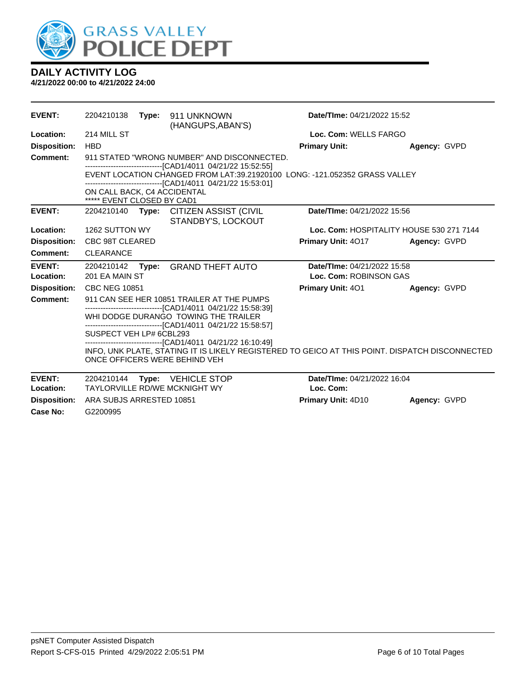

| <b>EVENT:</b>       | 2204210138<br>Date/TIme: 04/21/2022 15:52<br>Type:<br>911 UNKNOWN<br>(HANGUPS, ABAN'S)                                                                        |  |                                                                                                                                            |                             |                                          |  |
|---------------------|---------------------------------------------------------------------------------------------------------------------------------------------------------------|--|--------------------------------------------------------------------------------------------------------------------------------------------|-----------------------------|------------------------------------------|--|
| Location:           | 214 MILL ST                                                                                                                                                   |  |                                                                                                                                            | Loc. Com: WELLS FARGO       |                                          |  |
| <b>Disposition:</b> | <b>HBD</b>                                                                                                                                                    |  |                                                                                                                                            | <b>Primary Unit:</b>        | Agency: GVPD                             |  |
| <b>Comment:</b>     |                                                                                                                                                               |  | 911 STATED "WRONG NUMBER" AND DISCONNECTED.                                                                                                |                             |                                          |  |
|                     |                                                                                                                                                               |  | -------------------------------[CAD1/4011 04/21/22 15:52:55]                                                                               |                             |                                          |  |
|                     |                                                                                                                                                               |  | EVENT LOCATION CHANGED FROM LAT:39.21920100 LONG: -121.052352 GRASS VALLEY<br>-------------------------------[CAD1/4011 04/21/22 15:53:01] |                             |                                          |  |
|                     | ON CALL BACK, C4 ACCIDENTAL<br>***** EVENT CLOSED BY CAD1                                                                                                     |  |                                                                                                                                            |                             |                                          |  |
| <b>EVENT:</b>       | 2204210140                                                                                                                                                    |  | Type: CITIZEN ASSIST (CIVIL<br>STANDBY'S, LOCKOUT                                                                                          | Date/TIme: 04/21/2022 15:56 |                                          |  |
| Location:           | 1262 SUTTON WY                                                                                                                                                |  |                                                                                                                                            |                             | Loc. Com: HOSPITALITY HOUSE 530 271 7144 |  |
| <b>Disposition:</b> | CBC 98T CLEARED                                                                                                                                               |  |                                                                                                                                            | <b>Primary Unit: 4017</b>   | Agency: GVPD                             |  |
| Comment:            | <b>CLEARANCE</b>                                                                                                                                              |  |                                                                                                                                            |                             |                                          |  |
| <b>EVENT:</b>       | 2204210142                                                                                                                                                    |  | Type: GRAND THEFT AUTO                                                                                                                     | Date/TIme: 04/21/2022 15:58 |                                          |  |
| Location:           | 201 EA MAIN ST                                                                                                                                                |  |                                                                                                                                            | Loc. Com: ROBINSON GAS      |                                          |  |
| <b>Disposition:</b> | <b>CBC NEG 10851</b>                                                                                                                                          |  |                                                                                                                                            | <b>Primary Unit: 401</b>    | Agency: GVPD                             |  |
| Comment:            |                                                                                                                                                               |  | 911 CAN SEE HER 10851 TRAILER AT THE PUMPS                                                                                                 |                             |                                          |  |
|                     |                                                                                                                                                               |  | ---------------------------------[CAD1/4011 04/21/22 15:58:39]<br>WHI DODGE DURANGO TOWING THE TRAILER                                     |                             |                                          |  |
|                     | -------------------------------[CAD1/4011 04/21/22 15:58:57]                                                                                                  |  |                                                                                                                                            |                             |                                          |  |
|                     | SUSPECT VEH LP# 6CBL293                                                                                                                                       |  |                                                                                                                                            |                             |                                          |  |
|                     | ------------------------------[CAD1/4011_04/21/22_16:10:49]<br>INFO, UNK PLATE, STATING IT IS LIKELY REGISTERED TO GEICO AT THIS POINT. DISPATCH DISCONNECTED |  |                                                                                                                                            |                             |                                          |  |
|                     |                                                                                                                                                               |  |                                                                                                                                            |                             |                                          |  |
|                     |                                                                                                                                                               |  | ONCE OFFICERS WERE BEHIND VEH                                                                                                              |                             |                                          |  |
| <b>EVENT:</b>       | 2204210144                                                                                                                                                    |  | Type: VEHICLE STOP                                                                                                                         | Date/TIme: 04/21/2022 16:04 |                                          |  |
| Location:           | <b>TAYLORVILLE RD/WE MCKNIGHT WY</b>                                                                                                                          |  |                                                                                                                                            | Loc. Com:                   |                                          |  |
| <b>Disposition:</b> | ARA SUBJS ARRESTED 10851                                                                                                                                      |  |                                                                                                                                            | Primary Unit: 4D10          | Agency: GVPD                             |  |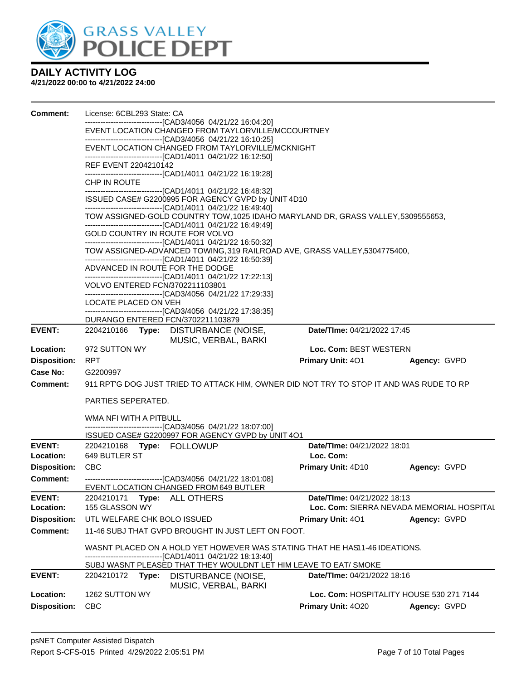

| Comment:            | License: 6CBL293 State: CA                                                                                                                                                                                                                          |                                          |                                           |  |  |  |  |  |  |
|---------------------|-----------------------------------------------------------------------------------------------------------------------------------------------------------------------------------------------------------------------------------------------------|------------------------------------------|-------------------------------------------|--|--|--|--|--|--|
|                     | ------------------------[CAD3/4056  04/21/22 16:04:20]<br>EVENT LOCATION CHANGED FROM TAYLORVILLE/MCCOURTNEY                                                                                                                                        |                                          |                                           |  |  |  |  |  |  |
|                     | -------------------------------[CAD3/4056 04/21/22 16:10:25]                                                                                                                                                                                        |                                          |                                           |  |  |  |  |  |  |
|                     | EVENT LOCATION CHANGED FROM TAYLORVILLE/MCKNIGHT<br>-------------------------------[CAD1/4011 04/21/22 16:12:50]                                                                                                                                    |                                          |                                           |  |  |  |  |  |  |
|                     | REF EVENT 2204210142<br>-------------------------------[CAD1/4011 04/21/22 16:19:28]                                                                                                                                                                |                                          |                                           |  |  |  |  |  |  |
|                     | CHP IN ROUTE<br>-------------------------------[CAD1/4011 04/21/22 16:48:32]                                                                                                                                                                        |                                          |                                           |  |  |  |  |  |  |
|                     | ISSUED CASE# G2200995 FOR AGENCY GVPD by UNIT 4D10<br>-------------------------------[CAD1/4011 04/21/22 16:49:40]                                                                                                                                  |                                          |                                           |  |  |  |  |  |  |
|                     | TOW ASSIGNED-GOLD COUNTRY TOW, 1025 IDAHO MARYLAND DR, GRASS VALLEY, 5309555653,<br>-------------------------------[CAD1/4011 04/21/22 16:49:49]<br>GOLD COUNTRY IN ROUTE FOR VOLVO<br>-------------------------------[CAD1/4011 04/21/22 16:50:32] |                                          |                                           |  |  |  |  |  |  |
|                     |                                                                                                                                                                                                                                                     |                                          |                                           |  |  |  |  |  |  |
|                     | TOW ASSIGNED-ADVANCED TOWING, 319 RAILROAD AVE, GRASS VALLEY, 5304775400,<br>-------------------------------[CAD1/4011 04/21/22 16:50:39]                                                                                                           |                                          |                                           |  |  |  |  |  |  |
|                     | ADVANCED IN ROUTE FOR THE DODGE                                                                                                                                                                                                                     |                                          |                                           |  |  |  |  |  |  |
|                     | ---------------------------------[CAD1/4011 04/21/22 17:22:13]<br>VOLVO ENTERED FCN/3702211103801                                                                                                                                                   |                                          |                                           |  |  |  |  |  |  |
|                     | --------------------------------[CAD3/4056 04/21/22 17:29:33]<br>LOCATE PLACED ON VEH                                                                                                                                                               |                                          |                                           |  |  |  |  |  |  |
|                     | ---------------------------------[CAD3/4056 04/21/22 17:38:35]<br>DURANGO ENTERED FCN/3702211103879                                                                                                                                                 |                                          |                                           |  |  |  |  |  |  |
| EVENT:              | 2204210166 Type: DISTURBANCE (NOISE,<br>MUSIC, VERBAL, BARKI                                                                                                                                                                                        | Date/TIme: 04/21/2022 17:45              |                                           |  |  |  |  |  |  |
| Location:           | 972 SUTTON WY                                                                                                                                                                                                                                       | Loc. Com: BEST WESTERN                   |                                           |  |  |  |  |  |  |
| <b>Disposition:</b> | <b>RPT</b>                                                                                                                                                                                                                                          | <b>Primary Unit: 401</b>                 | Agency: GVPD                              |  |  |  |  |  |  |
| <b>Case No:</b>     | G2200997                                                                                                                                                                                                                                            |                                          |                                           |  |  |  |  |  |  |
| <b>Comment:</b>     | 911 RPT'G DOG JUST TRIED TO ATTACK HIM, OWNER DID NOT TRY TO STOP IT AND WAS RUDE TO RP                                                                                                                                                             |                                          |                                           |  |  |  |  |  |  |
|                     | PARTIES SEPERATED.                                                                                                                                                                                                                                  |                                          |                                           |  |  |  |  |  |  |
|                     | WMA NFI WITH A PITBULL                                                                                                                                                                                                                              |                                          |                                           |  |  |  |  |  |  |
|                     | -------------------------------[CAD3/4056 04/21/22 18:07:00]<br>ISSUED CASE# G2200997 FOR AGENCY GVPD by UNIT 4O1                                                                                                                                   |                                          |                                           |  |  |  |  |  |  |
| <b>EVENT:</b>       | 2204210168 Type: FOLLOWUP                                                                                                                                                                                                                           | Date/TIme: 04/21/2022 18:01              |                                           |  |  |  |  |  |  |
| Location:           | 649 BUTLER ST                                                                                                                                                                                                                                       | Loc. Com:                                |                                           |  |  |  |  |  |  |
| <b>Disposition:</b> | <b>CBC</b>                                                                                                                                                                                                                                          | <b>Primary Unit: 4D10</b>                | Agency: GVPD                              |  |  |  |  |  |  |
| Comment:            | EVENT LOCATION CHANGED FROM 649 BUTLER                                                                                                                                                                                                              |                                          |                                           |  |  |  |  |  |  |
| <b>EVENT:</b>       | 2204210171<br>Type:<br>ALL OTHERS                                                                                                                                                                                                                   | Date/TIme: 04/21/2022 18:13              |                                           |  |  |  |  |  |  |
| Location:           | 155 GLASSON WY                                                                                                                                                                                                                                      |                                          | Loc. Com: SIERRA NEVADA MEMORIAL HOSPITAL |  |  |  |  |  |  |
| <b>Disposition:</b> | UTL WELFARE CHK BOLO ISSUED                                                                                                                                                                                                                         | <b>Primary Unit: 401</b>                 | Agency: GVPD                              |  |  |  |  |  |  |
| <b>Comment:</b>     | 11-46 SUBJ THAT GVPD BROUGHT IN JUST LEFT ON FOOT.                                                                                                                                                                                                  |                                          |                                           |  |  |  |  |  |  |
|                     | WASNT PLACED ON A HOLD YET HOWEVER WAS STATING THAT HE HASI1-46 IDEATIONS.<br>--[CAD1/4011 04/21/22 18:13:40]                                                                                                                                       |                                          |                                           |  |  |  |  |  |  |
|                     | SUBJ WASNT PLEASED THAT THEY WOULDNT LET HIM LEAVE TO EAT/ SMOKE                                                                                                                                                                                    |                                          |                                           |  |  |  |  |  |  |
| <b>EVENT:</b>       | 2204210172<br>Type:<br>DISTURBANCE (NOISE,<br>MUSIC, VERBAL, BARKI                                                                                                                                                                                  | Date/TIme: 04/21/2022 18:16              |                                           |  |  |  |  |  |  |
| Location:           | 1262 SUTTON WY                                                                                                                                                                                                                                      | Loc. Com: HOSPITALITY HOUSE 530 271 7144 |                                           |  |  |  |  |  |  |
| <b>Disposition:</b> | <b>CBC</b>                                                                                                                                                                                                                                          | Primary Unit: 4020                       | Agency: GVPD                              |  |  |  |  |  |  |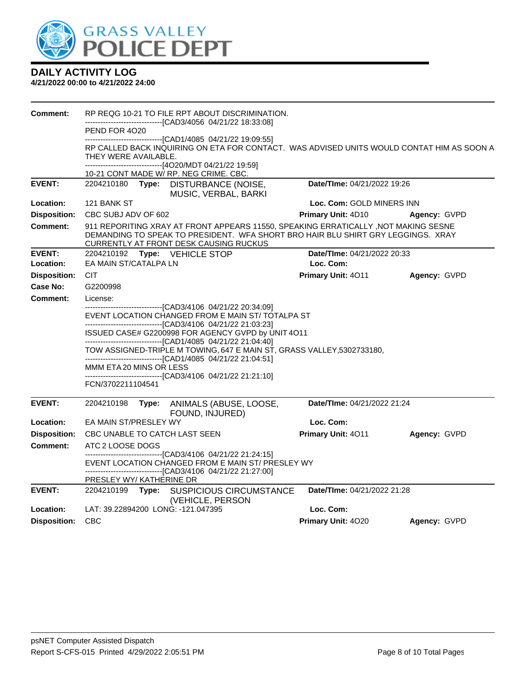

| Comment:            | RP REQG 10-21 TO FILE RPT ABOUT DISCRIMINATION.                                                                                                                                                                  |                             |              |  |  |  |  |
|---------------------|------------------------------------------------------------------------------------------------------------------------------------------------------------------------------------------------------------------|-----------------------------|--------------|--|--|--|--|
|                     | -------------------------------[CAD3/4056_04/21/22 18:33:08]<br>PEND FOR 4020                                                                                                                                    |                             |              |  |  |  |  |
|                     | -------------------------------[CAD1/4085 04/21/22 19:09:55]                                                                                                                                                     |                             |              |  |  |  |  |
|                     | RP CALLED BACK INQUIRING ON ETA FOR CONTACT. WAS ADVISED UNITS WOULD CONTAT HIM AS SOON A<br>THEY WERE AVAILABLE.                                                                                                |                             |              |  |  |  |  |
|                     | ------------------------------[4O20/MDT 04/21/22 19:59]<br>10-21 CONT MADE W/ RP. NEG CRIME. CBC.                                                                                                                |                             |              |  |  |  |  |
| <b>EVENT:</b>       | 2204210180 Type: DISTURBANCE (NOISE,<br>MUSIC, VERBAL, BARKI                                                                                                                                                     | Date/TIme: 04/21/2022 19:26 |              |  |  |  |  |
| Location:           | 121 BANK ST                                                                                                                                                                                                      | Loc. Com: GOLD MINERS INN   |              |  |  |  |  |
| <b>Disposition:</b> | CBC SUBJ ADV OF 602                                                                                                                                                                                              | <b>Primary Unit: 4D10</b>   | Agency: GVPD |  |  |  |  |
| <b>Comment:</b>     | 911 REPORITING XRAY AT FRONT APPEARS 11550, SPEAKING ERRATICALLY, NOT MAKING SESNE<br>DEMANDING TO SPEAK TO PRESIDENT. WFA SHORT BRO HAIR BLU SHIRT GRY LEGGINGS. XRAY<br>CURRENTLY AT FRONT DESK CAUSING RUCKUS |                             |              |  |  |  |  |
| <b>EVENT:</b>       | 2204210192 Type: VEHICLE STOP                                                                                                                                                                                    | Date/TIme: 04/21/2022 20:33 |              |  |  |  |  |
| Location:           | EA MAIN ST/CATALPA LN                                                                                                                                                                                            | Loc. Com:                   |              |  |  |  |  |
| <b>Disposition:</b> | <b>CIT</b>                                                                                                                                                                                                       | Primary Unit: 4011          | Agency: GVPD |  |  |  |  |
| Case No:            | G2200998                                                                                                                                                                                                         |                             |              |  |  |  |  |
| Comment:            | License:                                                                                                                                                                                                         |                             |              |  |  |  |  |
|                     | ---------------------------------[CAD3/4106_04/21/22_20:34:09]<br>EVENT LOCATION CHANGED FROM E MAIN ST/ TOTALPA ST                                                                                              |                             |              |  |  |  |  |
|                     | -------------------------------[CAD3/4106 04/21/22 21:03:23]                                                                                                                                                     |                             |              |  |  |  |  |
|                     | ISSUED CASE# G2200998 FOR AGENCY GVPD by UNIT 4O11<br>-------------------------------[CAD1/4085 04/21/22 21:04:40]                                                                                               |                             |              |  |  |  |  |
|                     | TOW ASSIGNED-TRIPLE M TOWING, 647 E MAIN ST, GRASS VALLEY, 5302733180,                                                                                                                                           |                             |              |  |  |  |  |
|                     | -------------------------------[CAD1/4085 04/21/22 21:04:51]<br>MMM ETA 20 MINS OR LESS                                                                                                                          |                             |              |  |  |  |  |
|                     | -------------------------------[CAD3/4106_04/21/22                          21:21:10]                                                                                                                            |                             |              |  |  |  |  |
|                     | FCN/3702211104541                                                                                                                                                                                                |                             |              |  |  |  |  |
| <b>EVENT:</b>       | 2204210198<br>Type:<br>ANIMALS (ABUSE, LOOSE,<br>FOUND, INJURED)                                                                                                                                                 | Date/TIme: 04/21/2022 21:24 |              |  |  |  |  |
| Location:           | EA MAIN ST/PRESLEY WY                                                                                                                                                                                            | Loc. Com:                   |              |  |  |  |  |
| <b>Disposition:</b> | CBC UNABLE TO CATCH LAST SEEN                                                                                                                                                                                    | Primary Unit: 4011          | Agency: GVPD |  |  |  |  |
| <b>Comment:</b>     | ATC 2 LOOSE DOGS                                                                                                                                                                                                 |                             |              |  |  |  |  |
|                     | --------------------------------[CAD3/4106_04/21/22                         21:24:15]<br>EVENT LOCATION CHANGED FROM E MAIN ST/ PRESLEY WY                                                                       |                             |              |  |  |  |  |
|                     | ---------------------[CAD3/4106 04/21/22 21:27:00]                                                                                                                                                               |                             |              |  |  |  |  |
|                     | PRESLEY WY/KATHERINE DR                                                                                                                                                                                          |                             |              |  |  |  |  |
| <b>EVENT:</b>       | 2204210199 Type: SUSPICIOUS CIRCUMSTANCE<br>(VEHICLE, PERSON                                                                                                                                                     | Date/Time: 04/21/2022 21:28 |              |  |  |  |  |
| Location:           | LAT: 39.22894200 LONG: -121.047395                                                                                                                                                                               | Loc. Com:                   |              |  |  |  |  |
| <b>Disposition:</b> | CBC                                                                                                                                                                                                              | Primary Unit: 4020          | Agency: GVPD |  |  |  |  |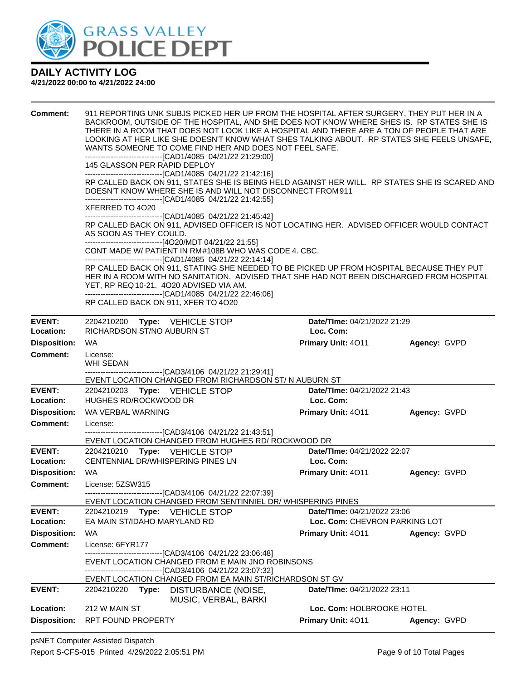

| <b>Comment:</b>     | WANTS SOMEONE TO COME FIND HER AND DOES NOT FEEL SAFE.<br>-------------------------------[CAD1/4085 04/21/22 21:29:00]<br>145 GLASSON PER RAPID DEPLOY<br>-------------------------------[CAD1/4085 04/21/22 21:42:16]<br>DOESN'T KNOW WHERE SHE IS AND WILL NOT DISCONNECT FROM 911<br>-------------------------------[CAD1/4085 04/21/22 21:42:55]<br>XFERRED TO 4020<br>------------------------------[CAD1/4085 04/21/22 21:45:42]<br>AS SOON AS THEY COULD.<br>-------------------------------[4O20/MDT 04/21/22 21:55]<br>CONT MADE W/ PATIENT IN RM#108B WHO WAS CODE 4. CBC.<br>-------------------------------[CAD1/4085 04/21/22 22:14:14]<br>YET, RP REQ 10-21. 4O20 ADVISED VIA AM.<br>-------------------------------[CAD1/4085 04/21/22 22:46:06]<br>RP CALLED BACK ON 911, XFER TO 4O20 |                                             | 911 REPORTING UNK SUBJS PICKED HER UP FROM THE HOSPITAL AFTER SURGERY, THEY PUT HER IN A<br>BACKROOM, OUTSIDE OF THE HOSPITAL, AND SHE DOES NOT KNOW WHERE SHES IS. RP STATES SHE IS<br>THERE IN A ROOM THAT DOES NOT LOOK LIKE A HOSPITAL AND THERE ARE A TON OF PEOPLE THAT ARE<br>LOOKING AT HER LIKE SHE DOESN'T KNOW WHAT SHES TALKING ABOUT. RP STATES SHE FEELS UNSAFE,<br>RP CALLED BACK ON 911, STATES SHE IS BEING HELD AGAINST HER WILL. RP STATES SHE IS SCARED AND<br>RP CALLED BACK ON 911, ADVISED OFFICER IS NOT LOCATING HER. ADVISED OFFICER WOULD CONTACT<br>RP CALLED BACK ON 911, STATING SHE NEEDED TO BE PICKED UP FROM HOSPITAL BECAUSE THEY PUT<br>HER IN A ROOM WITH NO SANITATION. ADVISED THAT SHE HAD NOT BEEN DISCHARGED FROM HOSPITAL |                               |  |  |
|---------------------|--------------------------------------------------------------------------------------------------------------------------------------------------------------------------------------------------------------------------------------------------------------------------------------------------------------------------------------------------------------------------------------------------------------------------------------------------------------------------------------------------------------------------------------------------------------------------------------------------------------------------------------------------------------------------------------------------------------------------------------------------------------------------------------------------------|---------------------------------------------|----------------------------------------------------------------------------------------------------------------------------------------------------------------------------------------------------------------------------------------------------------------------------------------------------------------------------------------------------------------------------------------------------------------------------------------------------------------------------------------------------------------------------------------------------------------------------------------------------------------------------------------------------------------------------------------------------------------------------------------------------------------------|-------------------------------|--|--|
| <b>EVENT:</b>       | 2204210200 Type: VEHICLE STOP                                                                                                                                                                                                                                                                                                                                                                                                                                                                                                                                                                                                                                                                                                                                                                          |                                             | Date/TIme: 04/21/2022 21:29                                                                                                                                                                                                                                                                                                                                                                                                                                                                                                                                                                                                                                                                                                                                          |                               |  |  |
| Location:           | RICHARDSON ST/NO AUBURN ST                                                                                                                                                                                                                                                                                                                                                                                                                                                                                                                                                                                                                                                                                                                                                                             |                                             | Loc. Com:                                                                                                                                                                                                                                                                                                                                                                                                                                                                                                                                                                                                                                                                                                                                                            |                               |  |  |
| <b>Disposition:</b> | <b>WA</b>                                                                                                                                                                                                                                                                                                                                                                                                                                                                                                                                                                                                                                                                                                                                                                                              |                                             | Primary Unit: 4011                                                                                                                                                                                                                                                                                                                                                                                                                                                                                                                                                                                                                                                                                                                                                   | Agency: GVPD                  |  |  |
| <b>Comment:</b>     | License:<br>WHI SEDAN<br>-------------------------------[CAD3/4106 04/21/22 21:29:41]                                                                                                                                                                                                                                                                                                                                                                                                                                                                                                                                                                                                                                                                                                                  |                                             |                                                                                                                                                                                                                                                                                                                                                                                                                                                                                                                                                                                                                                                                                                                                                                      |                               |  |  |
|                     | EVENT LOCATION CHANGED FROM RICHARDSON ST/ N AUBURN ST                                                                                                                                                                                                                                                                                                                                                                                                                                                                                                                                                                                                                                                                                                                                                 |                                             |                                                                                                                                                                                                                                                                                                                                                                                                                                                                                                                                                                                                                                                                                                                                                                      |                               |  |  |
| <b>EVENT:</b>       | 2204210203 Type: VEHICLE STOP                                                                                                                                                                                                                                                                                                                                                                                                                                                                                                                                                                                                                                                                                                                                                                          |                                             | Date/TIme: 04/21/2022 21:43                                                                                                                                                                                                                                                                                                                                                                                                                                                                                                                                                                                                                                                                                                                                          |                               |  |  |
| Location:           | HUGHES RD/ROCKWOOD DR                                                                                                                                                                                                                                                                                                                                                                                                                                                                                                                                                                                                                                                                                                                                                                                  |                                             | Loc. Com:                                                                                                                                                                                                                                                                                                                                                                                                                                                                                                                                                                                                                                                                                                                                                            |                               |  |  |
| <b>Disposition:</b> | WA VERBAL WARNING                                                                                                                                                                                                                                                                                                                                                                                                                                                                                                                                                                                                                                                                                                                                                                                      |                                             | Primary Unit: 4011                                                                                                                                                                                                                                                                                                                                                                                                                                                                                                                                                                                                                                                                                                                                                   | Agency: GVPD                  |  |  |
| <b>Comment:</b>     | License:<br>-------------------------------[CAD3/4106 04/21/22 21:43:51]<br>EVENT LOCATION CHANGED FROM HUGHES RD/ ROCKWOOD DR                                                                                                                                                                                                                                                                                                                                                                                                                                                                                                                                                                                                                                                                         |                                             |                                                                                                                                                                                                                                                                                                                                                                                                                                                                                                                                                                                                                                                                                                                                                                      |                               |  |  |
| <b>EVENT:</b>       | 2204210210 Type: VEHICLE STOP                                                                                                                                                                                                                                                                                                                                                                                                                                                                                                                                                                                                                                                                                                                                                                          |                                             | Date/TIme: 04/21/2022 22:07                                                                                                                                                                                                                                                                                                                                                                                                                                                                                                                                                                                                                                                                                                                                          |                               |  |  |
| Location:           | CENTENNIAL DR/WHISPERING PINES LN                                                                                                                                                                                                                                                                                                                                                                                                                                                                                                                                                                                                                                                                                                                                                                      |                                             | Loc. Com:                                                                                                                                                                                                                                                                                                                                                                                                                                                                                                                                                                                                                                                                                                                                                            |                               |  |  |
| <b>Disposition:</b> | WA                                                                                                                                                                                                                                                                                                                                                                                                                                                                                                                                                                                                                                                                                                                                                                                                     |                                             | Primary Unit: 4011                                                                                                                                                                                                                                                                                                                                                                                                                                                                                                                                                                                                                                                                                                                                                   | Agency: GVPD                  |  |  |
| Comment:            | License: 5ZSW315                                                                                                                                                                                                                                                                                                                                                                                                                                                                                                                                                                                                                                                                                                                                                                                       |                                             |                                                                                                                                                                                                                                                                                                                                                                                                                                                                                                                                                                                                                                                                                                                                                                      |                               |  |  |
|                     | --------------------------[CAD3/4106 04/21/22 22:07:39]<br>EVENT LOCATION CHANGED FROM SENTINNIEL DR/ WHISPERING PINES                                                                                                                                                                                                                                                                                                                                                                                                                                                                                                                                                                                                                                                                                 |                                             |                                                                                                                                                                                                                                                                                                                                                                                                                                                                                                                                                                                                                                                                                                                                                                      |                               |  |  |
| <b>EVENT:</b>       | 2204210219<br><b>Type: VEHICLE STOP</b>                                                                                                                                                                                                                                                                                                                                                                                                                                                                                                                                                                                                                                                                                                                                                                |                                             | Date/TIme: 04/21/2022 23:06                                                                                                                                                                                                                                                                                                                                                                                                                                                                                                                                                                                                                                                                                                                                          |                               |  |  |
| Location:           | EA MAIN ST/IDAHO MARYLAND RD                                                                                                                                                                                                                                                                                                                                                                                                                                                                                                                                                                                                                                                                                                                                                                           |                                             |                                                                                                                                                                                                                                                                                                                                                                                                                                                                                                                                                                                                                                                                                                                                                                      | Loc. Com: CHEVRON PARKING LOT |  |  |
| <b>Disposition:</b> | WA                                                                                                                                                                                                                                                                                                                                                                                                                                                                                                                                                                                                                                                                                                                                                                                                     |                                             | <b>Primary Unit: 4011</b>                                                                                                                                                                                                                                                                                                                                                                                                                                                                                                                                                                                                                                                                                                                                            | Agency: GVPD                  |  |  |
| <b>Comment:</b>     | License: 6FYR177                                                                                                                                                                                                                                                                                                                                                                                                                                                                                                                                                                                                                                                                                                                                                                                       |                                             |                                                                                                                                                                                                                                                                                                                                                                                                                                                                                                                                                                                                                                                                                                                                                                      |                               |  |  |
|                     | -------------------------------[CAD3/4106 04/21/22 23:06:48]<br>EVENT LOCATION CHANGED FROM E MAIN JNO ROBINSONS<br>-----------------------[CAD3/4106_04/21/22_23:07:32]                                                                                                                                                                                                                                                                                                                                                                                                                                                                                                                                                                                                                               |                                             |                                                                                                                                                                                                                                                                                                                                                                                                                                                                                                                                                                                                                                                                                                                                                                      |                               |  |  |
|                     | EVENT LOCATION CHANGED FROM EA MAIN ST/RICHARDSON ST GV                                                                                                                                                                                                                                                                                                                                                                                                                                                                                                                                                                                                                                                                                                                                                |                                             |                                                                                                                                                                                                                                                                                                                                                                                                                                                                                                                                                                                                                                                                                                                                                                      |                               |  |  |
| <b>EVENT:</b>       | 2204210220<br>Type:                                                                                                                                                                                                                                                                                                                                                                                                                                                                                                                                                                                                                                                                                                                                                                                    | DISTURBANCE (NOISE,<br>MUSIC, VERBAL, BARKI | Date/TIme: 04/21/2022 23:11                                                                                                                                                                                                                                                                                                                                                                                                                                                                                                                                                                                                                                                                                                                                          |                               |  |  |
| Location:           | 212 W MAIN ST                                                                                                                                                                                                                                                                                                                                                                                                                                                                                                                                                                                                                                                                                                                                                                                          |                                             | Loc. Com: HOLBROOKE HOTEL                                                                                                                                                                                                                                                                                                                                                                                                                                                                                                                                                                                                                                                                                                                                            |                               |  |  |
| <b>Disposition:</b> | <b>RPT FOUND PROPERTY</b>                                                                                                                                                                                                                                                                                                                                                                                                                                                                                                                                                                                                                                                                                                                                                                              |                                             | Primary Unit: 4011                                                                                                                                                                                                                                                                                                                                                                                                                                                                                                                                                                                                                                                                                                                                                   | Agency: GVPD                  |  |  |